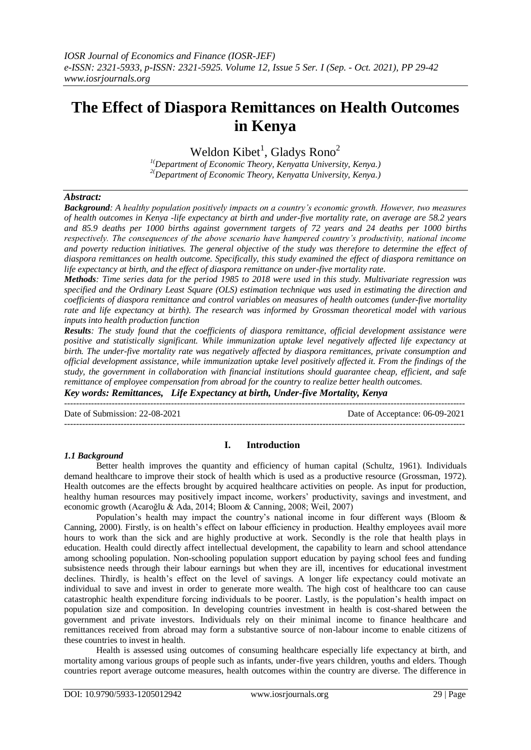# **The Effect of Diaspora Remittances on Health Outcomes in Kenya**

Weldon Kibet<sup>1</sup>, Gladys Rono<sup>2</sup>

*1(Department of Economic Theory, Kenyatta University, Kenya.) 2(Department of Economic Theory, Kenyatta University, Kenya.)*

#### *Abstract:*

*Background: A healthy population positively impacts on a country's economic growth. However, two measures of health outcomes in Kenya -life expectancy at birth and under-five mortality rate, on average are 58.2 years and 85.9 deaths per 1000 births against government targets of 72 years and 24 deaths per 1000 births respectively. The consequences of the above scenario have hampered country's productivity, national income and poverty reduction initiatives. The general objective of the study was therefore to determine the effect of diaspora remittances on health outcome. Specifically, this study examined the effect of diaspora remittance on life expectancy at birth, and the effect of diaspora remittance on under-five mortality rate.*

*Methods: Time series data for the period 1985 to 2018 were used in this study. Multivariate regression was specified and the Ordinary Least Square (OLS) estimation technique was used in estimating the direction and coefficients of diaspora remittance and control variables on measures of health outcomes (under-five mortality rate and life expectancy at birth). The research was informed by Grossman theoretical model with various inputs into health production function*

*Results: The study found that the coefficients of diaspora remittance, official development assistance were positive and statistically significant. While immunization uptake level negatively affected life expectancy at birth. The under-five mortality rate was negatively affected by diaspora remittances, private consumption and official development assistance, while immunization uptake level positively affected it. From the findings of the study, the government in collaboration with financial institutions should guarantee cheap, efficient, and safe remittance of employee compensation from abroad for the country to realize better health outcomes. Key words: Remittances, Life Expectancy at birth, Under-five Mortality, Kenya*

Date of Submission: 22-08-2021 Date of Acceptance: 06-09-2021

---------------------------------------------------------------------------------------------------------------------------------------

#### *1.1 Background*

#### **I. Introduction**

---------------------------------------------------------------------------------------------------------------------------------------

Better health improves the quantity and efficiency of human capital (Schultz, 1961). Individuals demand healthcare to improve their stock of health which is used as a productive resource (Grossman, 1972). Health outcomes are the effects brought by acquired healthcare activities on people. As input for production, healthy human resources may positively impact income, workers' productivity, savings and investment, and economic growth (Acaroğlu & Ada, 2014; Bloom & Canning, 2008; Weil, 2007)

Population's health may impact the country's national income in four different ways (Bloom & Canning, 2000). Firstly, is on health's effect on labour efficiency in production. Healthy employees avail more hours to work than the sick and are highly productive at work. Secondly is the role that health plays in education. Health could directly affect intellectual development, the capability to learn and school attendance among schooling population. Non-schooling population support education by paying school fees and funding subsistence needs through their labour earnings but when they are ill, incentives for educational investment declines. Thirdly, is health's effect on the level of savings. A longer life expectancy could motivate an individual to save and invest in order to generate more wealth. The high cost of healthcare too can cause catastrophic health expenditure forcing individuals to be poorer. Lastly, is the population's health impact on population size and composition. In developing countries investment in health is cost-shared between the government and private investors. Individuals rely on their minimal income to finance healthcare and remittances received from abroad may form a substantive source of non-labour income to enable citizens of these countries to invest in health.

Health is assessed using outcomes of consuming healthcare especially life expectancy at birth, and mortality among various groups of people such as infants, under-five years children, youths and elders. Though countries report average outcome measures, health outcomes within the country are diverse. The difference in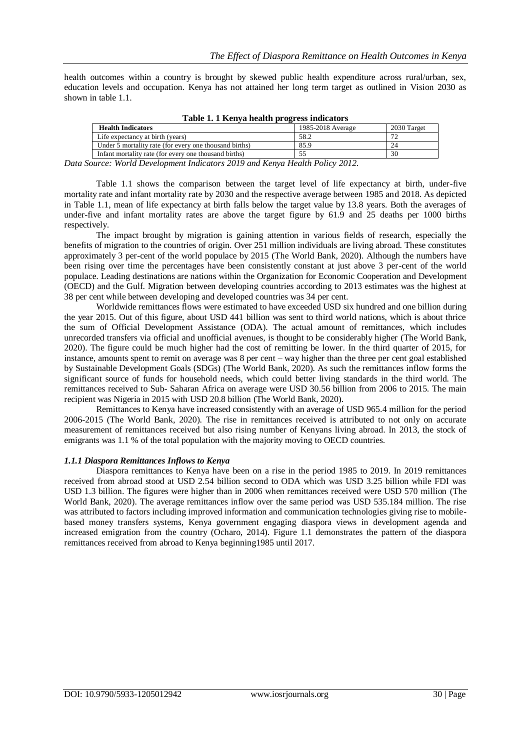health outcomes within a country is brought by skewed public health expenditure across rural/urban, sex, education levels and occupation. Kenya has not attained her long term target as outlined in Vision 2030 as shown in table 1.1.

| <b>Health Indicators</b>                               | 1985-2018 Average | 2030 Target |
|--------------------------------------------------------|-------------------|-------------|
| Life expectancy at birth (years)                       | 58.2              |             |
| Under 5 mortality rate (for every one thousand births) | 85.9              | 24          |
| Infant mortality rate (for every one thousand births)  |                   | 30          |
|                                                        |                   |             |

**Table 1. 1 Kenya health progress indicators**

*Data Source: World Development Indicators 2019 and Kenya Health Policy 2012.*

Table 1.1 shows the comparison between the target level of life expectancy at birth, under-five mortality rate and infant mortality rate by 2030 and the respective average between 1985 and 2018. As depicted in Table 1.1, mean of life expectancy at birth falls below the target value by 13.8 years. Both the averages of under-five and infant mortality rates are above the target figure by 61.9 and 25 deaths per 1000 births respectively.

The impact brought by migration is gaining attention in various fields of research, especially the benefits of migration to the countries of origin. Over 251 million individuals are living abroad. These constitutes approximately 3 per-cent of the world populace by 2015 (The World Bank, 2020). Although the numbers have been rising over time the percentages have been consistently constant at just above 3 per-cent of the world populace. Leading destinations are nations within the Organization for Economic Cooperation and Development (OECD) and the Gulf. Migration between developing countries according to 2013 estimates was the highest at 38 per cent while between developing and developed countries was 34 per cent.

Worldwide remittances flows were estimated to have exceeded USD six hundred and one billion during the year 2015. Out of this figure, about USD 441 billion was sent to third world nations, which is about thrice the sum of Official Development Assistance (ODA). The actual amount of remittances, which includes unrecorded transfers via official and unofficial avenues, is thought to be considerably higher (The World Bank, 2020). The figure could be much higher had the cost of remitting be lower. In the third quarter of 2015, for instance, amounts spent to remit on average was 8 per cent – way higher than the three per cent goal established by Sustainable Development Goals (SDGs) (The World Bank, 2020). As such the remittances inflow forms the significant source of funds for household needs, which could better living standards in the third world. The remittances received to Sub- Saharan Africa on average were USD 30.56 billion from 2006 to 2015. The main recipient was Nigeria in 2015 with USD 20.8 billion (The World Bank, 2020).

Remittances to Kenya have increased consistently with an average of USD 965.4 million for the period 2006-2015 (The World Bank, 2020). The rise in remittances received is attributed to not only on accurate measurement of remittances received but also rising number of Kenyans living abroad. In 2013, the stock of emigrants was 1.1 % of the total population with the majority moving to OECD countries.

#### *1.1.1 Diaspora Remittances Inflows to Kenya*

Diaspora remittances to Kenya have been on a rise in the period 1985 to 2019. In 2019 remittances received from abroad stood at USD 2.54 billion second to ODA which was USD 3.25 billion while FDI was USD 1.3 billion. The figures were higher than in 2006 when remittances received were USD 570 million (The World Bank, 2020). The average remittances inflow over the same period was USD 535.184 million. The rise was attributed to factors including improved information and communication technologies giving rise to mobilebased money transfers systems, Kenya government engaging diaspora views in development agenda and increased emigration from the country (Ocharo, 2014). Figure 1.1 demonstrates the pattern of the diaspora remittances received from abroad to Kenya beginning1985 until 2017.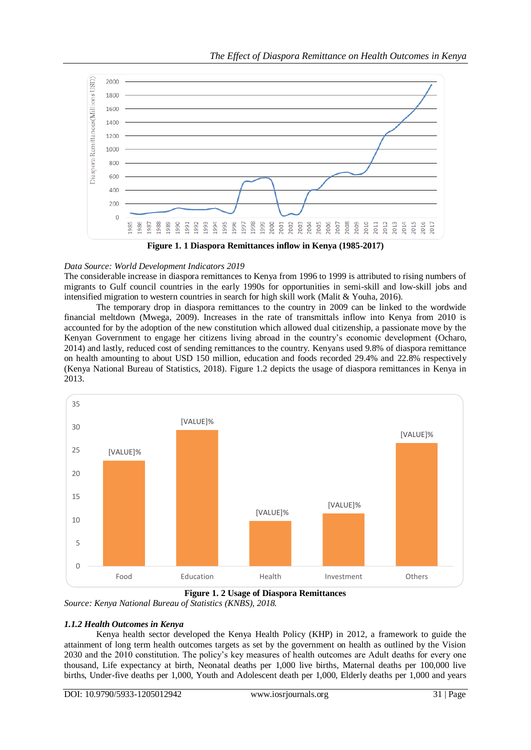

**Figure 1. 1 Diaspora Remittances inflow in Kenya (1985-2017)**

## *Data Source: World Development Indicators 2019*

The considerable increase in diaspora remittances to Kenya from 1996 to 1999 is attributed to rising numbers of migrants to Gulf council countries in the early 1990s for opportunities in semi-skill and low-skill jobs and intensified migration to western countries in search for high skill work (Malit & Youha, 2016).

The temporary drop in diaspora remittances to the country in 2009 can be linked to the wordwide financial meltdown (Mwega, 2009). Increases in the rate of transmittals inflow into Kenya from 2010 is accounted for by the adoption of the new constitution which allowed dual citizenship, a passionate move by the Kenyan Government to engage her citizens living abroad in the country's economic development (Ocharo, 2014) and lastly, reduced cost of sending remittances to the country. Kenyans used 9.8% of diaspora remittance on health amounting to about USD 150 million, education and foods recorded 29.4% and 22.8% respectively (Kenya National Bureau of Statistics, 2018). Figure 1.2 depicts the usage of diaspora remittances in Kenya in 2013.



**Figure 1. 2 Usage of Diaspora Remittances** *Source: Kenya National Bureau of Statistics (KNBS), 2018.*

# *1.1.2 Health Outcomes in Kenya*

Kenya health sector developed the Kenya Health Policy (KHP) in 2012, a framework to guide the attainment of long term health outcomes targets as set by the government on health as outlined by the Vision 2030 and the 2010 constitution. The policy's key measures of health outcomes are Adult deaths for every one thousand, Life expectancy at birth, Neonatal deaths per 1,000 live births, Maternal deaths per 100,000 live births, Under-five deaths per 1,000, Youth and Adolescent death per 1,000, Elderly deaths per 1,000 and years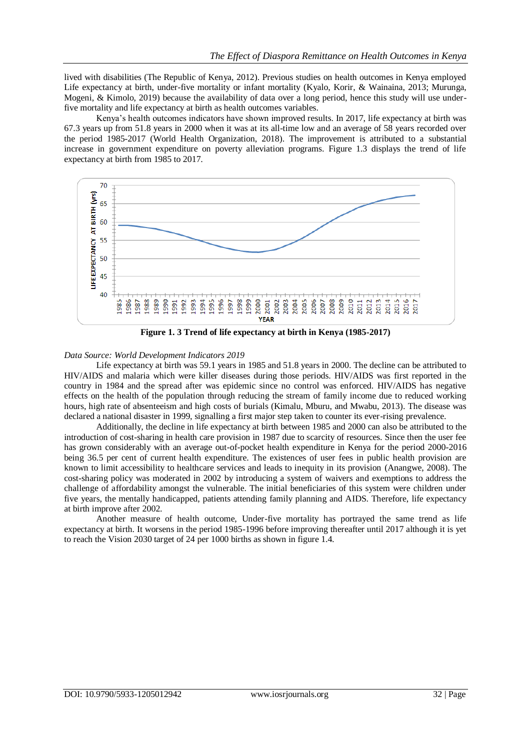lived with disabilities (The Republic of Kenya, 2012). Previous studies on health outcomes in Kenya employed Life expectancy at birth, under-five mortality or infant mortality (Kyalo, Korir, & Wainaina, 2013; Murunga, Mogeni, & Kimolo, 2019) because the availability of data over a long period, hence this study will use underfive mortality and life expectancy at birth as health outcomes variables.

Kenya's health outcomes indicators have shown improved results. In 2017, life expectancy at birth was 67.3 years up from 51.8 years in 2000 when it was at its all-time low and an average of 58 years recorded over the period 1985-2017 (World Health Organization, 2018). The improvement is attributed to a substantial increase in government expenditure on poverty alleviation programs. Figure 1.3 displays the trend of life expectancy at birth from 1985 to 2017.



**Figure 1. 3 Trend of life expectancy at birth in Kenya (1985-2017)**

#### *Data Source: World Development Indicators 2019*

Life expectancy at birth was 59.1 years in 1985 and 51.8 years in 2000. The decline can be attributed to HIV/AIDS and malaria which were killer diseases during those periods. HIV/AIDS was first reported in the country in 1984 and the spread after was epidemic since no control was enforced. HIV/AIDS has negative effects on the health of the population through reducing the stream of family income due to reduced working hours, high rate of absenteeism and high costs of burials (Kimalu, Mburu, and Mwabu, 2013). The disease was declared a national disaster in 1999, signalling a first major step taken to counter its ever-rising prevalence.

Additionally, the decline in life expectancy at birth between 1985 and 2000 can also be attributed to the introduction of cost-sharing in health care provision in 1987 due to scarcity of resources. Since then the user fee has grown considerably with an average out-of-pocket health expenditure in Kenya for the period 2000-2016 being 36.5 per cent of current health expenditure. The existences of user fees in public health provision are known to limit accessibility to healthcare services and leads to inequity in its provision (Anangwe, 2008). The cost-sharing policy was moderated in 2002 by introducing a system of waivers and exemptions to address the challenge of affordability amongst the vulnerable. The initial beneficiaries of this system were children under five years, the mentally handicapped, patients attending family planning and AIDS. Therefore, life expectancy at birth improve after 2002.

Another measure of health outcome, Under-five mortality has portrayed the same trend as life expectancy at birth. It worsens in the period 1985-1996 before improving thereafter until 2017 although it is yet to reach the Vision 2030 target of 24 per 1000 births as shown in figure 1.4.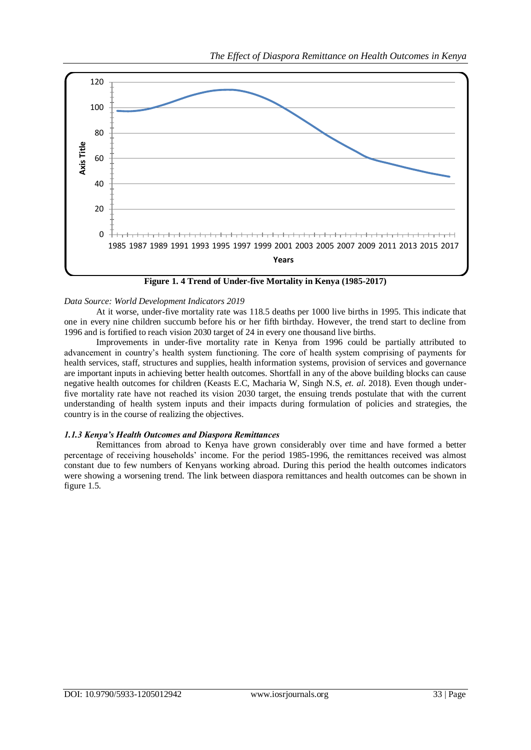

**Figure 1. 4 Trend of Under-five Mortality in Kenya (1985-2017)**

#### *Data Source: World Development Indicators 2019*

At it worse, under-five mortality rate was 118.5 deaths per 1000 live births in 1995. This indicate that one in every nine children succumb before his or her fifth birthday. However, the trend start to decline from 1996 and is fortified to reach vision 2030 target of 24 in every one thousand live births.

Improvements in under-five mortality rate in Kenya from 1996 could be partially attributed to advancement in country's health system functioning. The core of health system comprising of payments for health services, staff, structures and supplies, health information systems, provision of services and governance are important inputs in achieving better health outcomes. Shortfall in any of the above building blocks can cause negative health outcomes for children (Keasts E.C, Macharia W, Singh N.S, *et. al*. 2018). Even though underfive mortality rate have not reached its vision 2030 target, the ensuing trends postulate that with the current understanding of health system inputs and their impacts during formulation of policies and strategies, the country is in the course of realizing the objectives.

#### *1.1.3 Kenya's Health Outcomes and Diaspora Remittances*

Remittances from abroad to Kenya have grown considerably over time and have formed a better percentage of receiving households' income. For the period 1985-1996, the remittances received was almost constant due to few numbers of Kenyans working abroad. During this period the health outcomes indicators were showing a worsening trend. The link between diaspora remittances and health outcomes can be shown in figure 1.5.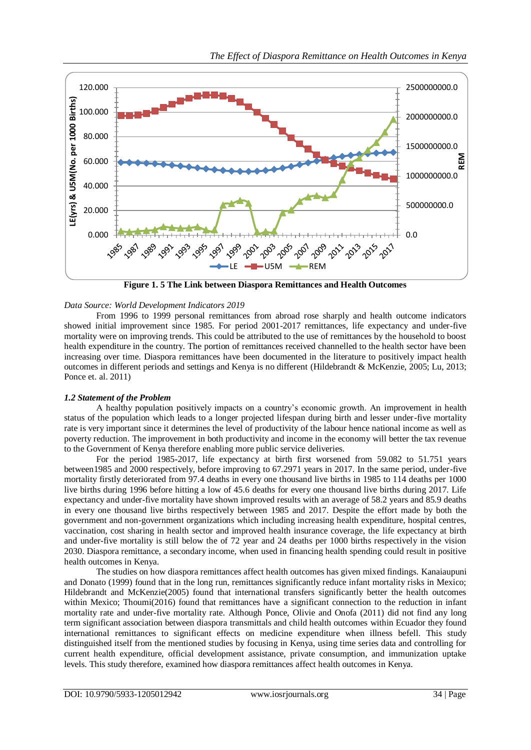

**Figure 1. 5 The Link between Diaspora Remittances and Health Outcomes**

#### *Data Source: World Development Indicators 2019*

From 1996 to 1999 personal remittances from abroad rose sharply and health outcome indicators showed initial improvement since 1985. For period 2001-2017 remittances, life expectancy and under-five mortality were on improving trends. This could be attributed to the use of remittances by the household to boost health expenditure in the country. The portion of remittances received channelled to the health sector have been increasing over time. Diaspora remittances have been documented in the literature to positively impact health outcomes in different periods and settings and Kenya is no different (Hildebrandt & McKenzie, 2005; Lu, 2013; Ponce et. al. 2011)

#### *1.2 Statement of the Problem*

A healthy population positively impacts on a country's economic growth. An improvement in health status of the population which leads to a longer projected lifespan during birth and lesser under-five mortality rate is very important since it determines the level of productivity of the labour hence national income as well as poverty reduction. The improvement in both productivity and income in the economy will better the tax revenue to the Government of Kenya therefore enabling more public service deliveries.

For the period 1985-2017, life expectancy at birth first worsened from 59.082 to 51.751 years between1985 and 2000 respectively, before improving to 67.2971 years in 2017. In the same period, under-five mortality firstly deteriorated from 97.4 deaths in every one thousand live births in 1985 to 114 deaths per 1000 live births during 1996 before hitting a low of 45.6 deaths for every one thousand live births during 2017. Life expectancy and under-five mortality have shown improved results with an average of 58.2 years and 85.9 deaths in every one thousand live births respectively between 1985 and 2017. Despite the effort made by both the government and non-government organizations which including increasing health expenditure, hospital centres, vaccination, cost sharing in health sector and improved health insurance coverage, the life expectancy at birth and under-five mortality is still below the of 72 year and 24 deaths per 1000 births respectively in the vision 2030. Diaspora remittance, a secondary income, when used in financing health spending could result in positive health outcomes in Kenya.

The studies on how diaspora remittances affect health outcomes has given mixed findings. Kanaiaupuni and Donato (1999) found that in the long run, remittances significantly reduce infant mortality risks in Mexico; Hildebrandt and McKenzie(2005) found that international transfers significantly better the health outcomes within Mexico; Thoumi(2016) found that remittances have a significant connection to the reduction in infant mortality rate and under-five mortality rate. Although Ponce, Olivie and Onofa (2011) did not find any long term significant association between diaspora transmittals and child health outcomes within Ecuador they found international remittances to significant effects on medicine expenditure when illness befell. This study distinguished itself from the mentioned studies by focusing in Kenya, using time series data and controlling for current health expenditure, official development assistance, private consumption, and immunization uptake levels. This study therefore, examined how diaspora remittances affect health outcomes in Kenya.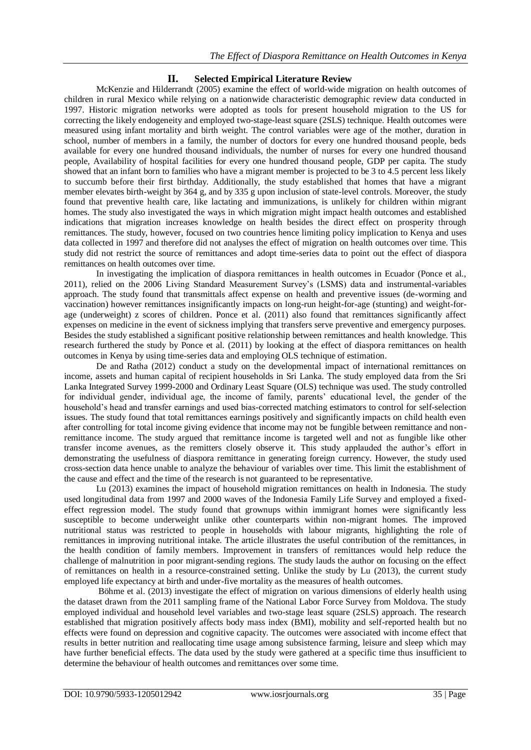### **II. Selected Empirical Literature Review**

McKenzie and Hilderrandt (2005) examine the effect of world-wide migration on health outcomes of children in rural Mexico while relying on a nationwide characteristic demographic review data conducted in 1997. Historic migration networks were adopted as tools for present household migration to the US for correcting the likely endogeneity and employed two-stage-least square (2SLS) technique. Health outcomes were measured using infant mortality and birth weight. The control variables were age of the mother, duration in school, number of members in a family, the number of doctors for every one hundred thousand people, beds available for every one hundred thousand individuals, the number of nurses for every one hundred thousand people, Availability of hospital facilities for every one hundred thousand people, GDP per capita. The study showed that an infant born to families who have a migrant member is projected to be 3 to 4.5 percent less likely to succumb before their first birthday. Additionally, the study established that homes that have a migrant member elevates birth-weight by 364 g, and by 335 g upon inclusion of state-level controls. Moreover, the study found that preventive health care, like lactating and immunizations, is unlikely for children within migrant homes. The study also investigated the ways in which migration might impact health outcomes and established indications that migration increases knowledge on health besides the direct effect on prosperity through remittances. The study, however, focused on two countries hence limiting policy implication to Kenya and uses data collected in 1997 and therefore did not analyses the effect of migration on health outcomes over time. This study did not restrict the source of remittances and adopt time-series data to point out the effect of diaspora remittances on health outcomes over time.

In investigating the implication of diaspora remittances in health outcomes in Ecuador (Ponce et al., 2011), relied on the 2006 Living Standard Measurement Survey's (LSMS) data and instrumental-variables approach. The study found that transmittals affect expense on health and preventive issues (de-worming and vaccination) however remittances insignificantly impacts on long-run height-for-age (stunting) and weight-forage (underweight) z scores of children. Ponce et al. (2011) also found that remittances significantly affect expenses on medicine in the event of sickness implying that transfers serve preventive and emergency purposes. Besides the study established a significant positive relationship between remittances and health knowledge. This research furthered the study by Ponce et al. (2011) by looking at the effect of diaspora remittances on health outcomes in Kenya by using time-series data and employing OLS technique of estimation.

De and Ratha (2012) conduct a study on the developmental impact of international remittances on income, assets and human capital of recipient households in Sri Lanka. The study employed data from the Sri Lanka Integrated Survey 1999-2000 and Ordinary Least Square (OLS) technique was used. The study controlled for individual gender, individual age, the income of family, parents' educational level, the gender of the household's head and transfer earnings and used bias-corrected matching estimators to control for self-selection issues. The study found that total remittances earnings positively and significantly impacts on child health even after controlling for total income giving evidence that income may not be fungible between remittance and nonremittance income. The study argued that remittance income is targeted well and not as fungible like other transfer income avenues, as the remitters closely observe it. This study applauded the author's effort in demonstrating the usefulness of diaspora remittance in generating foreign currency. However, the study used cross-section data hence unable to analyze the behaviour of variables over time. This limit the establishment of the cause and effect and the time of the research is not guaranteed to be representative.

Lu (2013) examines the impact of household migration remittances on health in Indonesia. The study used longitudinal data from 1997 and 2000 waves of the Indonesia Family Life Survey and employed a fixedeffect regression model. The study found that grownups within immigrant homes were significantly less susceptible to become underweight unlike other counterparts within non-migrant homes. The improved nutritional status was restricted to people in households with labour migrants, highlighting the role of remittances in improving nutritional intake. The article illustrates the useful contribution of the remittances, in the health condition of family members. Improvement in transfers of remittances would help reduce the challenge of malnutrition in poor migrant-sending regions. The study lauds the author on focusing on the effect of remittances on health in a resource-constrained setting. Unlike the study by Lu (2013), the current study employed life expectancy at birth and under-five mortality as the measures of health outcomes.

Böhme et al. (2013) investigate the effect of migration on various dimensions of elderly health using the dataset drawn from the 2011 sampling frame of the National Labor Force Survey from Moldova. The study employed individual and household level variables and two-stage least square (2SLS) approach. The research established that migration positively affects body mass index (BMI), mobility and self-reported health but no effects were found on depression and cognitive capacity. The outcomes were associated with income effect that results in better nutrition and reallocating time usage among subsistence farming, leisure and sleep which may have further beneficial effects. The data used by the study were gathered at a specific time thus insufficient to determine the behaviour of health outcomes and remittances over some time.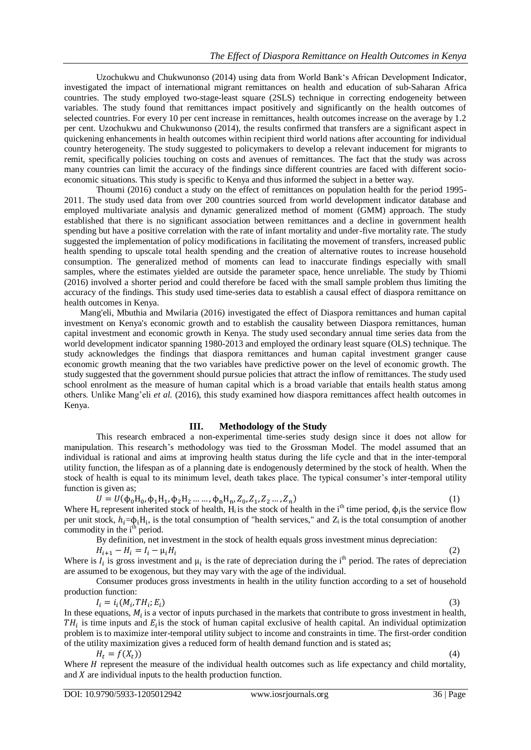Uzochukwu and Chukwunonso (2014) using data from World Bank's African Development Indicator, investigated the impact of international migrant remittances on health and education of sub-Saharan Africa countries. The study employed two-stage-least square (2SLS) technique in correcting endogeneity between variables. The study found that remittances impact positively and significantly on the health outcomes of selected countries. For every 10 per cent increase in remittances, health outcomes increase on the average by 1.2 per cent. Uzochukwu and Chukwunonso (2014), the results confirmed that transfers are a significant aspect in quickening enhancements in health outcomes within recipient third world nations after accounting for individual country heterogeneity. The study suggested to policymakers to develop a relevant inducement for migrants to remit, specifically policies touching on costs and avenues of remittances. The fact that the study was across many countries can limit the accuracy of the findings since different countries are faced with different socioeconomic situations. This study is specific to Kenya and thus informed the subject in a better way.

Thoumi (2016) conduct a study on the effect of remittances on population health for the period 1995- 2011. The study used data from over 200 countries sourced from world development indicator database and employed multivariate analysis and dynamic generalized method of moment (GMM) approach. The study established that there is no significant association between remittances and a decline in government health spending but have a positive correlation with the rate of infant mortality and under-five mortality rate. The study suggested the implementation of policy modifications in facilitating the movement of transfers, increased public health spending to upscale total health spending and the creation of alternative routes to increase household consumption. The generalized method of moments can lead to inaccurate findings especially with small samples, where the estimates yielded are outside the parameter space, hence unreliable. The study by Thiomi (2016) involved a shorter period and could therefore be faced with the small sample problem thus limiting the accuracy of the findings. This study used time-series data to establish a causal effect of diaspora remittance on health outcomes in Kenya.

Mang'eli, Mbuthia and Mwilaria (2016) investigated the effect of Diaspora remittances and human capital investment on Kenya's economic growth and to establish the causality between Diaspora remittances, human capital investment and economic growth in Kenya. The study used secondary annual time series data from the world development indicator spanning 1980-2013 and employed the ordinary least square (OLS) technique. The study acknowledges the findings that diaspora remittances and human capital investment granger cause economic growth meaning that the two variables have predictive power on the level of economic growth. The study suggested that the government should pursue policies that attract the inflow of remittances. The study used school enrolment as the measure of human capital which is a broad variable that entails health status among others. Unlike Mang'eli *et al.* (2016), this study examined how diaspora remittances affect health outcomes in Kenya.

#### **III. Methodology of the Study**

This research embraced a non-experimental time-series study design since it does not allow for manipulation. This research's methodology was tied to the Grossman Model. The model assumed that an individual is rational and aims at improving health status during the life cycle and that in the inter-temporal utility function, the lifespan as of a planning date is endogenously determined by the stock of health. When the stock of health is equal to its minimum level, death takes place. The typical consumer's inter-temporal utility function is given as;

$$
U = U(\phi_0 H_0, \phi_1 H_1, \phi_2 H_2 \dots \dots, \phi_n H_n, Z_0, Z_1, Z_2 \dots, Z_n)
$$

 $\qquad \qquad \text{)}$  (1) Where  $H_0$  represent inherited stock of health,  $H_i$  is the stock of health in the i<sup>th</sup> time period,  $\phi_i$  is the service flow per unit stock,  $h_i = \phi_i H_i$ , is the total consumption of "health services," and  $Z_i$  is the total consumption of another commodity in the i<sup>th</sup> period.

By definition, net investment in the stock of health equals gross investment minus depreciation:

$$
H_{i+1} - H_i = I_i - \mu_i H_i
$$

(2) Where is  $I_i$  is gross investment and  $\mu_i$  is the rate of depreciation during the i<sup>th</sup> period. The rates of depreciation are assumed to be exogenous, but they may vary with the age of the individual.

Consumer produces gross investments in health in the utility function according to a set of household production function:

$$
I_i = i_i(M_i, TH_i; E_i) \tag{3}
$$

In these equations,  $M_i$  is a vector of inputs purchased in the markets that contribute to gross investment in health,  $TH_i$  is time inputs and  $E_i$  is the stock of human capital exclusive of health capital. An individual optimization problem is to maximize inter-temporal utility subject to income and constraints in time. The first-order condition of the utility maximization gives a reduced form of health demand function and is stated as;

 $\qquad \qquad \text{)}$ 

Where  $H$  represent the measure of the individual health outcomes such as life expectancy and child mortality, and  $X$  are individual inputs to the health production function.

 $H_t = f(X_t)$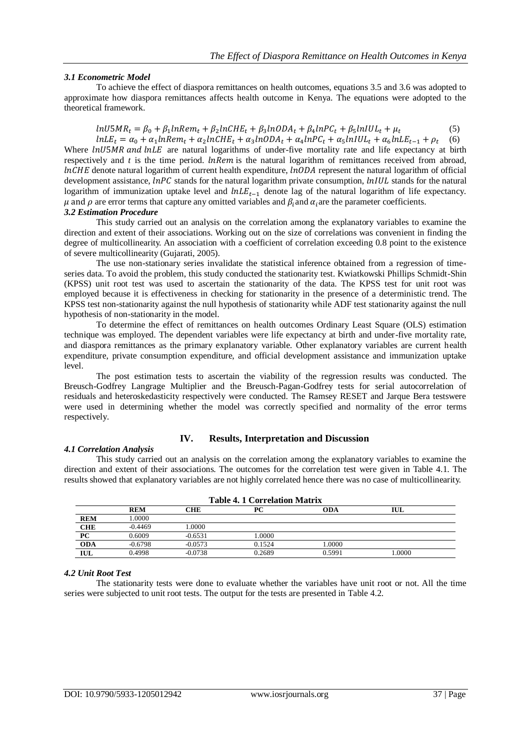#### *3.1 Econometric Model*

To achieve the effect of diaspora remittances on health outcomes, equations 3.5 and 3.6 was adopted to approximate how diaspora remittances affects health outcome in Kenya. The equations were adopted to the theoretical framework.

#### $ln U5MR_t = \beta_0 + \beta_1 ln Rem_t + \beta_2 lnCHE_t + \beta_3 lnODA_t + \beta_4 lnPC_t + \beta_5 lnD_t$ (5) (6)

 $lnLE_t = \alpha_0 + \alpha_1 ln Rem_t + \alpha_2 lnCHE_t + \alpha_3 lnODA_t + \alpha_4 lnPC_t + \alpha_5 lnIUL_t + \alpha_6 lnI$ Where  $ln U5MR$  and  $ln LE$  are natural logarithms of under-five mortality rate and life expectancy at birth respectively and  $t$  is the time period.  $lnRem$  is the natural logarithm of remittances received from abroad,  $InCHE$  denote natural logarithm of current health expenditure,  $InODA$  represent the natural logarithm of official development assistance,  $lnPC$  stands for the natural logarithm private consumption,  $lnIUL$  stands for the natural logarithm of immunization uptake level and  $lnLE_{t-1}$  denote lag of the natural logarithm of life expectancy.  $\mu$  and  $\rho$  are error terms that capture any omitted variables and  $\beta_i$  and  $\alpha_i$  are the parameter coefficients. *3.2 Estimation Procedure*

This study carried out an analysis on the correlation among the explanatory variables to examine the direction and extent of their associations. Working out on the size of correlations was convenient in finding the degree of multicollinearity. An association with a coefficient of correlation exceeding 0.8 point to the existence of severe multicollinearity (Gujarati, 2005).

The use non-stationary series invalidate the statistical inference obtained from a regression of timeseries data. To avoid the problem, this study conducted the stationarity test. Kwiatkowski Phillips Schmidt-Shin (KPSS) unit root test was used to ascertain the stationarity of the data. The KPSS test for unit root was employed because it is effectiveness in checking for stationarity in the presence of a deterministic trend. The KPSS test non-stationarity against the null hypothesis of stationarity while ADF test stationarity against the null hypothesis of non-stationarity in the model.

To determine the effect of remittances on health outcomes Ordinary Least Square (OLS) estimation technique was employed. The dependent variables were life expectancy at birth and under-five mortality rate, and diaspora remittances as the primary explanatory variable. Other explanatory variables are current health expenditure, private consumption expenditure, and official development assistance and immunization uptake level.

The post estimation tests to ascertain the viability of the regression results was conducted. The Breusch-Godfrey Langrage Multiplier and the Breusch-Pagan-Godfrey tests for serial autocorrelation of residuals and heteroskedasticity respectively were conducted. The Ramsey RESET and Jarque Bera testswere were used in determining whether the model was correctly specified and normality of the error terms respectively.

#### *4.1 Correlation Analysis*

#### **IV. Results, Interpretation and Discussion**

This study carried out an analysis on the correlation among the explanatory variables to examine the direction and extent of their associations. The outcomes for the correlation test were given in Table 4.1. The results showed that explanatory variables are not highly correlated hence there was no case of multicollinearity.

|            | Table 4. I Correlation Matrix |           |        |            |       |  |  |
|------------|-------------------------------|-----------|--------|------------|-------|--|--|
|            | <b>REM</b>                    | CHE       | PС     | <b>ODA</b> | IUL.  |  |  |
| <b>REM</b> | 0000.1                        |           |        |            |       |  |  |
| <b>CHE</b> | $-0.4469$                     | 0000.1    |        |            |       |  |  |
| PC         | 0.6009                        | $-0.6531$ | .0000  |            |       |  |  |
| <b>ODA</b> | $-0.6798$                     | $-0.0573$ | 0.1524 | 0000.1     |       |  |  |
| IUL        | 0.4998                        | $-0.0738$ | 0.2689 | 0.5991     | .0000 |  |  |

#### **Table 4. 1 Correlation Matrix**

#### *4.2 Unit Root Test*

The stationarity tests were done to evaluate whether the variables have unit root or not. All the time series were subjected to unit root tests. The output for the tests are presented in Table 4.2.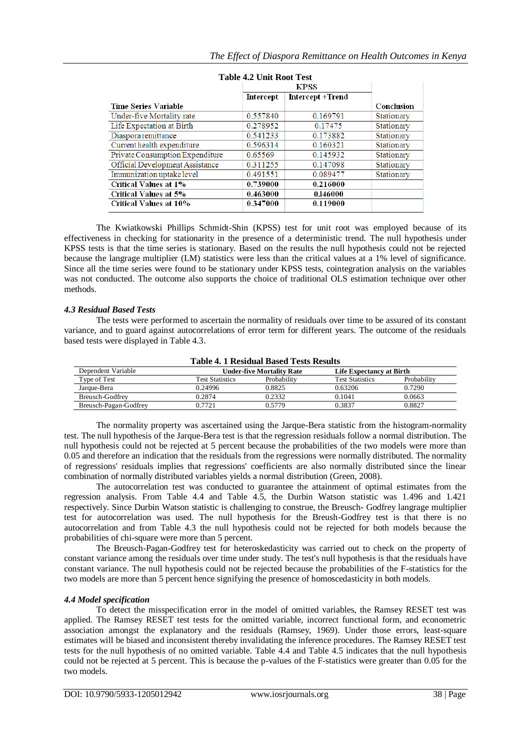| Table 4.2 Unit Root Test        |           |                         |            |  |  |  |
|---------------------------------|-----------|-------------------------|------------|--|--|--|
|                                 |           |                         |            |  |  |  |
|                                 | Intercept | <b>Intercept +Trend</b> |            |  |  |  |
| <b>Time Series Variable</b>     |           |                         | Conclusion |  |  |  |
| Under-five Mortality rate       | 0.557840  | 0.169791                | Stationary |  |  |  |
| Life Expectation at Birth       | 0.278952  | 0.17475                 | Stationary |  |  |  |
| Diaspora remittance             | 0.541233  | 0.173882                | Stationary |  |  |  |
| Current health expenditure      | 0.596314  | 0.160321                | Stationary |  |  |  |
| Private Consumption Expenditure | 0.65569   | 0.145932                | Stationary |  |  |  |
| Official Development Assistance | 0.311255  | 0.147098                | Stationary |  |  |  |
| Immunization uptake level       | 0.491551  | 0.089477                | Stationary |  |  |  |
| <b>Critical Values at 1%</b>    | 0.739000  | 0.216000                |            |  |  |  |
| <b>Critical Values at 5%</b>    | 0.463000  | 0.146000                |            |  |  |  |
| <b>Critical Values at 10%</b>   | 0.347000  | 0.119000                |            |  |  |  |

| Table 4.2 Unit Root Test |  |  |
|--------------------------|--|--|
|                          |  |  |

The Kwiatkowski Phillips Schmidt-Shin (KPSS) test for unit root was employed because of its effectiveness in checking for stationarity in the presence of a deterministic trend. The null hypothesis under KPSS tests is that the time series is stationary. Based on the results the null hypothesis could not be rejected because the langrage multiplier (LM) statistics were less than the critical values at a 1% level of significance. Since all the time series were found to be stationary under KPSS tests, cointegration analysis on the variables was not conducted. The outcome also supports the choice of traditional OLS estimation technique over other methods.

#### *4.3 Residual Based Tests*

The tests were performed to ascertain the normality of residuals over time to be assured of its constant variance, and to guard against autocorrelations of error term for different years. The outcome of the residuals based tests were displayed in Table 4.3.

| Table 4. I Residual Based Tests Results |                        |                                  |                          |             |  |
|-----------------------------------------|------------------------|----------------------------------|--------------------------|-------------|--|
| Dependent Variable                      |                        | <b>Under-five Mortality Rate</b> | Life Expectancy at Birth |             |  |
| Type of Test                            | <b>Test Statistics</b> | Probability                      | <b>Test Statistics</b>   | Probability |  |
| Jarque-Bera                             | 0.24996                | 0.8825                           | 0.63206                  | 0.7290      |  |
| Breusch-Godfrey                         | 0.2874                 | 0.2332                           | 0.1041                   | 0.0663      |  |
| Breusch-Pagan-Godfrey                   | 0.7721                 | 0.5779                           | 0.3837                   | 0.8827      |  |

# **Table 4. 1 Residual Based Tests Results**

The normality property was ascertained using the Jarque-Bera statistic from the histogram-normality test. The null hypothesis of the Jarque-Bera test is that the regression residuals follow a normal distribution. The null hypothesis could not be rejected at 5 percent because the probabilities of the two models were more than 0.05 and therefore an indication that the residuals from the regressions were normally distributed. The normality of regressions' residuals implies that regressions' coefficients are also normally distributed since the linear combination of normally distributed variables yields a normal distribution (Green, 2008).

The autocorrelation test was conducted to guarantee the attainment of optimal estimates from the regression analysis. From Table 4.4 and Table 4.5, the Durbin Watson statistic was 1.496 and 1.421 respectively. Since Durbin Watson statistic is challenging to construe, the Breusch- Godfrey langrage multiplier test for autocorrelation was used. The null hypothesis for the Breush-Godfrey test is that there is no autocorrelation and from Table 4.3 the null hypothesis could not be rejected for both models because the probabilities of chi-square were more than 5 percent.

The Breusch-Pagan-Godfrey test for heteroskedasticity was carried out to check on the property of constant variance among the residuals over time under study. The test's null hypothesis is that the residuals have constant variance. The null hypothesis could not be rejected because the probabilities of the F-statistics for the two models are more than 5 percent hence signifying the presence of homoscedasticity in both models.

#### *4.4 Model specification*

To detect the misspecification error in the model of omitted variables, the Ramsey RESET test was applied. The Ramsey RESET test tests for the omitted variable, incorrect functional form, and econometric association amongst the explanatory and the residuals (Ramsey, 1969). Under those errors, least-square estimates will be biased and inconsistent thereby invalidating the inference procedures. The Ramsey RESET test tests for the null hypothesis of no omitted variable. Table 4.4 and Table 4.5 indicates that the null hypothesis could not be rejected at 5 percent. This is because the p-values of the F-statistics were greater than 0.05 for the two models.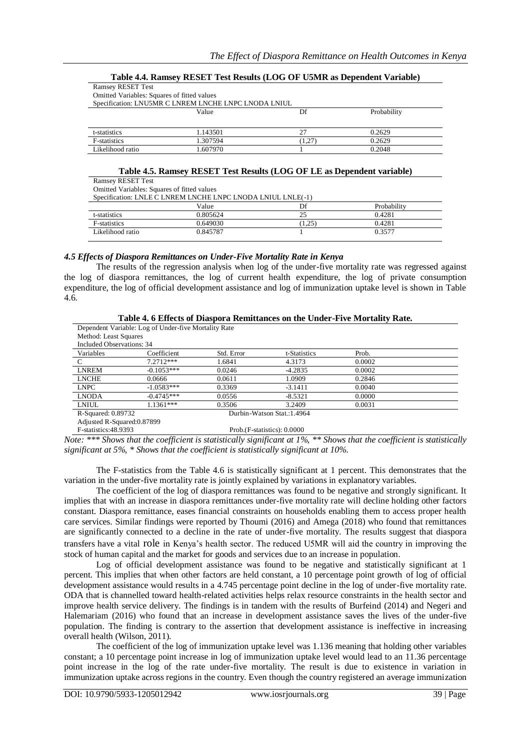|                                             | Tubic 416 Immine (Theodor Test Imsura (1900 Or Testin as Dependent (Minute) |        |             |
|---------------------------------------------|-----------------------------------------------------------------------------|--------|-------------|
| <b>Ramsey RESET Test</b>                    |                                                                             |        |             |
| Omitted Variables: Squares of fitted values |                                                                             |        |             |
|                                             | Specification: LNU5MR C LNREM LNCHE LNPC LNODA LNIUL                        |        |             |
|                                             | Value                                                                       | Df     | Probability |
|                                             |                                                                             |        |             |
| t-statistics                                | 1.143501                                                                    | 27     | 0.2629      |
| F-statistics                                | 1.307594                                                                    | (1.27) | 0.2629      |
| Likelihood ratio                            | 1.607970                                                                    |        | 0.2048      |

#### **Table 4.4. Ramsey RESET Test Results (LOG OF U5MR as Dependent Variable)**

# **Table 4.5. Ramsey RESET Test Results (LOG OF LE as Dependent variable)**

Ramsey RESET Test Omitted Variables: Squares of fitted values

Specification: LNDC LNODA LNULL LNLE(-1)

|                      | SDECINGATON, LIVELY C LIVINEM ENCHE LIVEC LIVODA LIVIOL LIVELY -1 I |          |             |  |  |
|----------------------|---------------------------------------------------------------------|----------|-------------|--|--|
|                      | Value                                                               | Df       | Probability |  |  |
| t-statistics         | 9.805624                                                            | <u>_</u> | 0.4281      |  |  |
| <b>F</b> -statistics | 0.649030                                                            | 1.25     | 0.4281      |  |  |
| Likelihood ratio     | 0.845787                                                            |          | 0.3577      |  |  |

#### *4.5 Effects of Diaspora Remittances on Under-Five Mortality Rate in Kenya*

The results of the regression analysis when log of the under-five mortality rate was regressed against the log of diaspora remittances, the log of current health expenditure, the log of private consumption expenditure, the log of official development assistance and log of immunization uptake level is shown in Table 4.6.

|                             | Table 4. o Effects of Diaspora Remittances on the Under-Five Mortality Rate. |            |                              |        |  |  |
|-----------------------------|------------------------------------------------------------------------------|------------|------------------------------|--------|--|--|
|                             | Dependent Variable: Log of Under-five Mortality Rate                         |            |                              |        |  |  |
| Method: Least Squares       |                                                                              |            |                              |        |  |  |
| Included Observations: 34   |                                                                              |            |                              |        |  |  |
| Variables                   | Coefficient                                                                  | Std. Error | t-Statistics                 | Prob.  |  |  |
| <sup>-</sup> C              | $7.2712***$                                                                  | 1.6841     | 4.3173                       | 0.0002 |  |  |
| <b>LNREM</b>                | $-0.1053***$                                                                 | 0.0246     | $-4.2835$                    | 0.0002 |  |  |
| <b>LNCHE</b>                | 0.0666                                                                       | 0.0611     | 1.0909                       | 0.2846 |  |  |
| <b>LNPC</b>                 | $-1.0583***$                                                                 | 0.3369     | $-3.1411$                    | 0.0040 |  |  |
| <b>LNODA</b>                | $-0.4745***$                                                                 | 0.0556     | $-8.5321$                    | 0.0000 |  |  |
| LNIUL                       | $1.1361***$                                                                  | 0.3506     | 3.2409                       | 0.0031 |  |  |
| R-Squared: 0.89732          |                                                                              |            | Durbin-Watson Stat.:1.4964   |        |  |  |
| Adjusted R-Squared: 0.87899 |                                                                              |            |                              |        |  |  |
| F-statistics:48.9393        |                                                                              |            | Prob. (F-statistics): 0.0000 |        |  |  |

# **Table 4. 6 Effects of Diaspora Remittances on the Under-Five Mortality Rate.**

*Note: \*\*\* Shows that the coefficient is statistically significant at 1%, \*\* Shows that the coefficient is statistically significant at 5%, \* Shows that the coefficient is statistically significant at 10%.*

The F-statistics from the Table 4.6 is statistically significant at 1 percent. This demonstrates that the variation in the under-five mortality rate is jointly explained by variations in explanatory variables.

The coefficient of the log of diaspora remittances was found to be negative and strongly significant. It implies that with an increase in diaspora remittances under-five mortality rate will decline holding other factors constant. Diaspora remittance, eases financial constraints on households enabling them to access proper health care services. Similar findings were reported by Thoumi (2016) and Amega (2018) who found that remittances are significantly connected to a decline in the rate of under-five mortality. The results suggest that diaspora transfers have a vital role in Kenya's health sector. The reduced U5MR will aid the country in improving the stock of human capital and the market for goods and services due to an increase in population.

Log of official development assistance was found to be negative and statistically significant at 1 percent. This implies that when other factors are held constant, a 10 percentage point growth of log of official development assistance would results in a 4.745 percentage point decline in the log of under-five mortality rate. ODA that is channelled toward health-related activities helps relax resource constraints in the health sector and improve health service delivery. The findings is in tandem with the results of Burfeind (2014) and Negeri and Halemariam (2016) who found that an increase in development assistance saves the lives of the under-five population. The finding is contrary to the assertion that development assistance is ineffective in increasing overall health (Wilson, 2011).

The coefficient of the log of immunization uptake level was 1.136 meaning that holding other variables constant; a 10 percentage point increase in log of immunization uptake level would lead to an 11.36 percentage point increase in the log of the rate under-five mortality. The result is due to existence in variation in immunization uptake across regions in the country. Even though the country registered an average immunization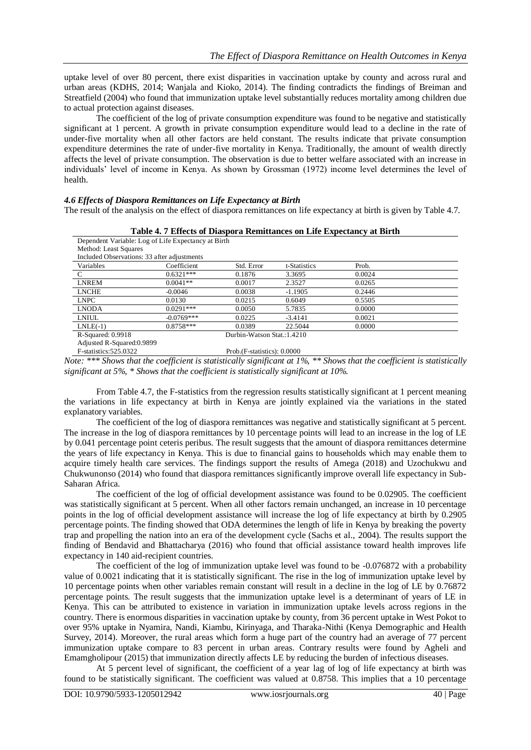uptake level of over 80 percent, there exist disparities in vaccination uptake by county and across rural and urban areas (KDHS, 2014; Wanjala and Kioko, 2014). The finding contradicts the findings of Breiman and Streatfield (2004) who found that immunization uptake level substantially reduces mortality among children due to actual protection against diseases.

The coefficient of the log of private consumption expenditure was found to be negative and statistically significant at 1 percent. A growth in private consumption expenditure would lead to a decline in the rate of under-five mortality when all other factors are held constant. The results indicate that private consumption expenditure determines the rate of under-five mortality in Kenya. Traditionally, the amount of wealth directly affects the level of private consumption. The observation is due to better welfare associated with an increase in individuals' level of income in Kenya. As shown by Grossman (1972) income level determines the level of health.

#### *4.6 Effects of Diaspora Remittances on Life Expectancy at Birth*

The result of the analysis on the effect of diaspora remittances on life expectancy at birth is given by Table 4.7.

| Table 4. TEHECUS OF DIASPOLA REHIIGANCES ON LIFE EXPECIANCY At DITUL |              |                              |              |        |  |
|----------------------------------------------------------------------|--------------|------------------------------|--------------|--------|--|
| Dependent Variable: Log of Life Expectancy at Birth                  |              |                              |              |        |  |
| Method: Least Squares                                                |              |                              |              |        |  |
| Included Observations: 33 after adjustments                          |              |                              |              |        |  |
| Variables                                                            | Coefficient  | Std. Error                   | t-Statistics | Prob.  |  |
| C                                                                    | $0.6321***$  | 0.1876                       | 3.3695       | 0.0024 |  |
| <b>LNREM</b>                                                         | $0.0041**$   | 0.0017                       | 2.3527       | 0.0265 |  |
| <b>LNCHE</b>                                                         | $-0.0046$    | 0.0038                       | $-1.1905$    | 0.2446 |  |
| <b>LNPC</b>                                                          | 0.0130       | 0.0215                       | 0.6049       | 0.5505 |  |
| <b>LNODA</b>                                                         | $0.0291***$  | 0.0050                       | 5.7835       | 0.0000 |  |
| LNIUL                                                                | $-0.0769***$ | 0.0225                       | $-3.4141$    | 0.0021 |  |
| $LNLE(-1)$                                                           | $0.8758***$  | 0.0389                       | 22.5044      | 0.0000 |  |
| R-Squared: 0.9918                                                    |              | Durbin-Watson Stat.:1.4210   |              |        |  |
| Adjusted R-Squared: 0.9899                                           |              |                              |              |        |  |
| F-statistics: 525.0322                                               |              | Prob. (F-statistics): 0.0000 |              |        |  |

**Table 4. 7 Effects of Diaspora Remittances on Life Expectancy at Birth**

*Note: \*\*\* Shows that the coefficient is statistically significant at 1%, \*\* Shows that the coefficient is statistically significant at 5%, \* Shows that the coefficient is statistically significant at 10%.*

From Table 4.7, the F-statistics from the regression results statistically significant at 1 percent meaning the variations in life expectancy at birth in Kenya are jointly explained via the variations in the stated explanatory variables.

The coefficient of the log of diaspora remittances was negative and statistically significant at 5 percent. The increase in the log of diaspora remittances by 10 percentage points will lead to an increase in the log of LE by 0.041 percentage point ceteris peribus. The result suggests that the amount of diaspora remittances determine the years of life expectancy in Kenya. This is due to financial gains to households which may enable them to acquire timely health care services. The findings support the results of Amega (2018) and Uzochukwu and Chukwunonso (2014) who found that diaspora remittances significantly improve overall life expectancy in Sub-Saharan Africa.

The coefficient of the log of official development assistance was found to be 0.02905. The coefficient was statistically significant at 5 percent. When all other factors remain unchanged, an increase in 10 percentage points in the log of official development assistance will increase the log of life expectancy at birth by 0.2905 percentage points. The finding showed that ODA determines the length of life in Kenya by breaking the poverty trap and propelling the nation into an era of the development cycle (Sachs et al., 2004). The results support the finding of Bendavid and Bhattacharya (2016) who found that official assistance toward health improves life expectancy in 140 aid-recipient countries.

The coefficient of the log of immunization uptake level was found to be -0.076872 with a probability value of 0.0021 indicating that it is statistically significant. The rise in the log of immunization uptake level by 10 percentage points when other variables remain constant will result in a decline in the log of LE by 0.76872 percentage points. The result suggests that the immunization uptake level is a determinant of years of LE in Kenya. This can be attributed to existence in variation in immunization uptake levels across regions in the country. There is enormous disparities in vaccination uptake by county, from 36 percent uptake in West Pokot to over 95% uptake in Nyamira, Nandi, Kiambu, Kirinyaga, and Tharaka-Nithi (Kenya Demographic and Health Survey, 2014). Moreover, the rural areas which form a huge part of the country had an average of 77 percent immunization uptake compare to 83 percent in urban areas. Contrary results were found by Agheli and Emamgholipour (2015) that immunization directly affects LE by reducing the burden of infectious diseases.

At 5 percent level of significant, the coefficient of a year lag of log of life expectancy at birth was found to be statistically significant. The coefficient was valued at 0.8758. This implies that a 10 percentage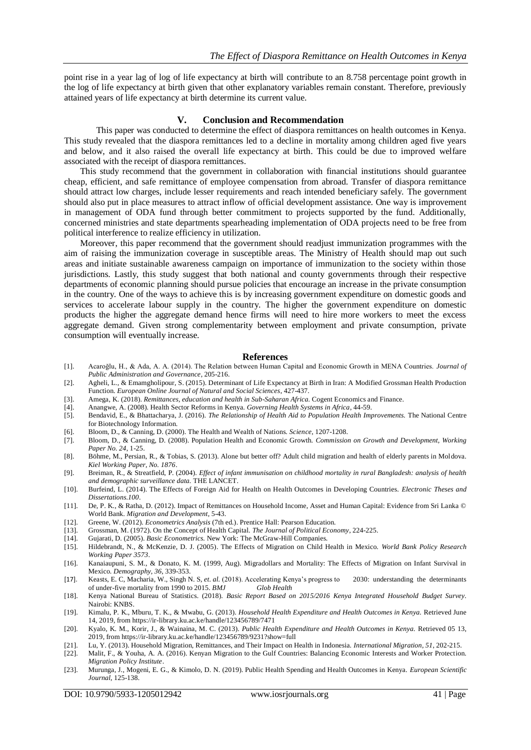point rise in a year lag of log of life expectancy at birth will contribute to an 8.758 percentage point growth in the log of life expectancy at birth given that other explanatory variables remain constant. Therefore, previously attained years of life expectancy at birth determine its current value.

#### **V. Conclusion and Recommendation**

This paper was conducted to determine the effect of diaspora remittances on health outcomes in Kenya. This study revealed that the diaspora remittances led to a decline in mortality among children aged five years and below, and it also raised the overall life expectancy at birth. This could be due to improved welfare associated with the receipt of diaspora remittances.

This study recommend that the government in collaboration with financial institutions should guarantee cheap, efficient, and safe remittance of employee compensation from abroad. Transfer of diaspora remittance should attract low charges, include lesser requirements and reach intended beneficiary safely. The government should also put in place measures to attract inflow of official development assistance. One way is improvement in management of ODA fund through better commitment to projects supported by the fund. Additionally, concerned ministries and state departments spearheading implementation of ODA projects need to be free from political interference to realize efficiency in utilization.

Moreover, this paper recommend that the government should readjust immunization programmes with the aim of raising the immunization coverage in susceptible areas. The Ministry of Health should map out such areas and initiate sustainable awareness campaign on importance of immunization to the society within those jurisdictions. Lastly, this study suggest that both national and county governments through their respective departments of economic planning should pursue policies that encourage an increase in the private consumption in the country. One of the ways to achieve this is by increasing government expenditure on domestic goods and services to accelerate labour supply in the country. The higher the government expenditure on domestic products the higher the aggregate demand hence firms will need to hire more workers to meet the excess aggregate demand. Given strong complementarity between employment and private consumption, private consumption will eventually increase.

#### **References**

- [1]. Acaroğlu, H., & Ada, A. A. (2014). The Relation between Human Capital and Economic Growth in MENA Countries. *Journal of Public Administration and Governance*, 205-216.
- [2]. Agheli, L., & Emamgholipour, S. (2015). Determinant of Life Expectancy at Birth in Iran: A Modified Grossman Health Production Function. *European Online Journal of Natural and Social Sciences*, 427-437.
- [3]. Amega, K. (2018). *Remittances, education and health in Sub-Saharan Africa*. Cogent Economics and Finance. [4]. Anangwe, A. (2008). Health Sector Reforms in Kenya. *Governing Health Systems in Africa*, 44-59.
- [4]. Anangwe, A. (2008). Health Sector Reforms in Kenya. *Governing Health Systems in Africa*, 44-59.
- [5]. Bendavid, E., & Bhattacharya, J. (2016). *The Relationship of Health Aid to Population Health Improvements.* The National Centre for Biotechnology Information.
- [6]. Bloom, D., & Canning, D. (2000). The Health and Wealth of Nations. *Science*, 1207-1208. [7]. Bloom, D., & Canning, D. (2008). Population Health and Economic Growth. *Commission on Growth and Development, Working Paper No. 24*, 1-25.
- [8]. Böhme, M., Persian, R., & Tobias, S. (2013). Alone but better off? Adult child migration and health of elderly parents in Moldova. *Kiel Working Paper, No. 1876*.
- [9]. Breiman, R., & Streatfield, P. (2004). *Effect of infant immunisation on childhood mortality in rural Bangladesh: analysis of health and demographic surveillance data.* THE LANCET.
- [10]. Burfeind, L. (2014). The Effects of Foreign Aid for Health on Health Outcomes in Developing Countries. *Electronic Theses and Dissertations.100*.
- [11]. De, P. K., & Ratha, D. (2012). Impact of Remittances on Household Income, Asset and Human Capital: Evidence from Sri Lanka © World Bank. *Migration and Development*, 5-43.
- [12]. Greene, W. (2012). *Econometrics Analysis* (7th ed.). Prentice Hall: Pearson Education.
- [13]. Grossman, M. (1972). On the Concept of Health Capital. *The Journal of Political Economy*, 224-225.
- [14]. Gujarati, D. (2005). *Basic Econometrics.* New York: The McGraw-Hill Companies.
- [15]. Hildebrandt, N., & McKenzie, D. J. (2005). The Effects of Migration on Child Health in Mexico. *World Bank Policy Research Working Paper 3573*.
- [16]. Kanaiaupuni, S. M., & Donato, K. M. (1999, Aug). Migradollars and Mortality: The Effects of Migration on Infant Survival in Mexico. *Demography, 36*, 339-353.
- [17]. Keasts, E. C, Macharia, W., Singh N. S, *et. al.* (2018). Accelerating Kenya's progress to 2030: understanding the determinants of under-five mortality from 1990 to 2015. *BMJ Glob Health*
- [18]. Kenya National Bureau of Statistics. (2018). *Basic Report Based on 2015/2016 Kenya Integrated Household Budget Survey.* Nairobi: KNBS.
- [19]. Kimalu, P. K., Mburu, T. K., & Mwabu, G. (2013). *Household Health Expenditure and Health Outcomes in Kenya.* Retrieved June 14, 2019, from https://ir-library.ku.ac.ke/handle/123456789/7471
- [20]. Kyalo, K. M., Korir, J., & Wainaina, M. C. (2013). *Public Health Expenditure and Health Outcomes in Kenya.* Retrieved 05 13, 2019, from https://ir-library.ku.ac.ke/handle/123456789/9231?show=full
- [21]. Lu, Y. (2013). Household Migration, Remittances, and Their Impact on Health in Indonesia. *International Migration, 51*, 202-215.
- [22]. Malit, F., & Youha, A. A. (2016). Kenyan Migration to the Gulf Countries: Balancing Economic Interests and Worker Protection. *Migration Policy Institute*.
- [23]. Murunga, J., Mogeni, E. G., & Kimolo, D. N. (2019). Public Health Spending and Health Outcomes in Kenya. *European Scientific Journal*, 125-138.